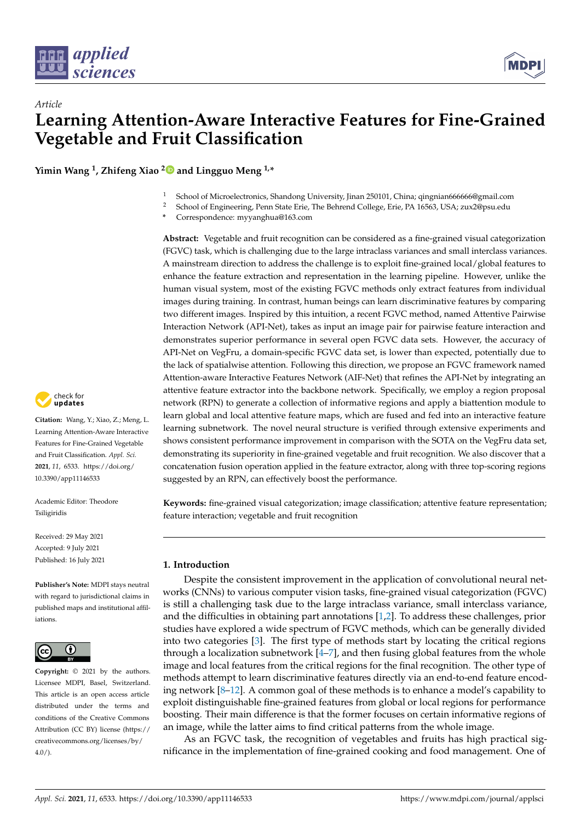

# *Article* **Learning Attention-Aware Interactive Features for Fine-Grained Vegetable and Fruit Classification**

**Yimin Wang <sup>1</sup> , Zhifeng Xiao [2](https://orcid.org/0000-0003-3327-8108) and Lingguo Meng 1,\***

- <sup>1</sup> School of Microelectronics, Shandong University, Jinan 250101, China; qingnian666666@gmail.com<br><sup>2</sup> School of Engineering, Pann State Erie, The Behrend College, Erie, PA 16563, USA: zuv2@psu.edu.
- <sup>2</sup> School of Engineering, Penn State Erie, The Behrend College, Erie, PA 16563, USA; zux2@psu.edu
- **\*** Correspondence: myyanghua@163.com

**Abstract:** Vegetable and fruit recognition can be considered as a fine-grained visual categorization (FGVC) task, which is challenging due to the large intraclass variances and small interclass variances. A mainstream direction to address the challenge is to exploit fine-grained local/global features to enhance the feature extraction and representation in the learning pipeline. However, unlike the human visual system, most of the existing FGVC methods only extract features from individual images during training. In contrast, human beings can learn discriminative features by comparing two different images. Inspired by this intuition, a recent FGVC method, named Attentive Pairwise Interaction Network (API-Net), takes as input an image pair for pairwise feature interaction and demonstrates superior performance in several open FGVC data sets. However, the accuracy of API-Net on VegFru, a domain-specific FGVC data set, is lower than expected, potentially due to the lack of spatialwise attention. Following this direction, we propose an FGVC framework named Attention-aware Interactive Features Network (AIF-Net) that refines the API-Net by integrating an attentive feature extractor into the backbone network. Specifically, we employ a region proposal network (RPN) to generate a collection of informative regions and apply a biattention module to learn global and local attentive feature maps, which are fused and fed into an interactive feature learning subnetwork. The novel neural structure is verified through extensive experiments and shows consistent performance improvement in comparison with the SOTA on the VegFru data set, demonstrating its superiority in fine-grained vegetable and fruit recognition. We also discover that a concatenation fusion operation applied in the feature extractor, along with three top-scoring regions suggested by an RPN, can effectively boost the performance.

**Keywords:** fine-grained visual categorization; image classification; attentive feature representation; feature interaction; vegetable and fruit recognition

# **1. Introduction**

Despite the consistent improvement in the application of convolutional neural networks (CNNs) to various computer vision tasks, fine-grained visual categorization (FGVC) is still a challenging task due to the large intraclass variance, small interclass variance, and the difficulties in obtaining part annotations [\[1,](#page-10-0)[2\]](#page-10-1). To address these challenges, prior studies have explored a wide spectrum of FGVC methods, which can be generally divided into two categories [\[3\]](#page-10-2). The first type of methods start by locating the critical regions through a localization subnetwork  $[4–7]$  $[4–7]$ , and then fusing global features from the whole image and local features from the critical regions for the final recognition. The other type of methods attempt to learn discriminative features directly via an end-to-end feature encoding network [\[8–](#page-10-5)[12\]](#page-10-6). A common goal of these methods is to enhance a model's capability to exploit distinguishable fine-grained features from global or local regions for performance boosting. Their main difference is that the former focuses on certain informative regions of an image, while the latter aims to find critical patterns from the whole image.

As an FGVC task, the recognition of vegetables and fruits has high practical significance in the implementation of fine-grained cooking and food management. One of



**Citation:** Wang, Y.; Xiao, Z.; Meng, L. Learning Attention-Aware Interactive Features for Fine-Grained Vegetable and Fruit Classification. *Appl. Sci.* **2021**, *11*, 6533. [https://doi.org/](https://doi.org/10.3390/app11146533) [10.3390/app11146533](https://doi.org/10.3390/app11146533)

Academic Editor: Theodore Tsiligiridis

Received: 29 May 2021 Accepted: 9 July 2021 Published: 16 July 2021

**Publisher's Note:** MDPI stays neutral with regard to jurisdictional claims in published maps and institutional affiliations.



**Copyright:** © 2021 by the authors. Licensee MDPI, Basel, Switzerland. This article is an open access article distributed under the terms and conditions of the Creative Commons Attribution (CC BY) license (https:/[/](https://creativecommons.org/licenses/by/4.0/) [creativecommons.org/licenses/by/](https://creativecommons.org/licenses/by/4.0/)  $4.0/$ ).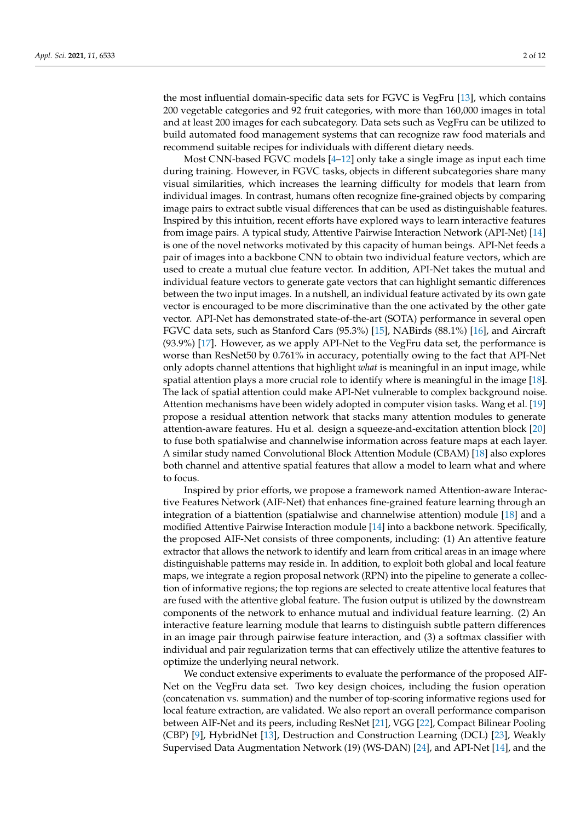the most influential domain-specific data sets for FGVC is VegFru [\[13\]](#page-10-7), which contains 200 vegetable categories and 92 fruit categories, with more than 160,000 images in total and at least 200 images for each subcategory. Data sets such as VegFru can be utilized to build automated food management systems that can recognize raw food materials and recommend suitable recipes for individuals with different dietary needs.

Most CNN-based FGVC models [\[4–](#page-10-3)[12\]](#page-10-6) only take a single image as input each time during training. However, in FGVC tasks, objects in different subcategories share many visual similarities, which increases the learning difficulty for models that learn from individual images. In contrast, humans often recognize fine-grained objects by comparing image pairs to extract subtle visual differences that can be used as distinguishable features. Inspired by this intuition, recent efforts have explored ways to learn interactive features from image pairs. A typical study, Attentive Pairwise Interaction Network (API-Net) [\[14\]](#page-10-8) is one of the novel networks motivated by this capacity of human beings. API-Net feeds a pair of images into a backbone CNN to obtain two individual feature vectors, which are used to create a mutual clue feature vector. In addition, API-Net takes the mutual and individual feature vectors to generate gate vectors that can highlight semantic differences between the two input images. In a nutshell, an individual feature activated by its own gate vector is encouraged to be more discriminative than the one activated by the other gate vector. API-Net has demonstrated state-of-the-art (SOTA) performance in several open FGVC data sets, such as Stanford Cars (95.3%) [\[15\]](#page-10-9), NABirds (88.1%) [\[16\]](#page-11-0), and Aircraft (93.9%) [\[17\]](#page-11-1). However, as we apply API-Net to the VegFru data set, the performance is worse than ResNet50 by 0.761% in accuracy, potentially owing to the fact that API-Net only adopts channel attentions that highlight *what* is meaningful in an input image, while spatial attention plays a more crucial role to identify where is meaningful in the image [\[18\]](#page-11-2). The lack of spatial attention could make API-Net vulnerable to complex background noise. Attention mechanisms have been widely adopted in computer vision tasks. Wang et al. [\[19\]](#page-11-3) propose a residual attention network that stacks many attention modules to generate attention-aware features. Hu et al. design a squeeze-and-excitation attention block [\[20\]](#page-11-4) to fuse both spatialwise and channelwise information across feature maps at each layer. A similar study named Convolutional Block Attention Module (CBAM) [\[18\]](#page-11-2) also explores both channel and attentive spatial features that allow a model to learn what and where to focus.

Inspired by prior efforts, we propose a framework named Attention-aware Interactive Features Network (AIF-Net) that enhances fine-grained feature learning through an integration of a biattention (spatialwise and channelwise attention) module [\[18\]](#page-11-2) and a modified Attentive Pairwise Interaction module [\[14\]](#page-10-8) into a backbone network. Specifically, the proposed AIF-Net consists of three components, including: (1) An attentive feature extractor that allows the network to identify and learn from critical areas in an image where distinguishable patterns may reside in. In addition, to exploit both global and local feature maps, we integrate a region proposal network (RPN) into the pipeline to generate a collection of informative regions; the top regions are selected to create attentive local features that are fused with the attentive global feature. The fusion output is utilized by the downstream components of the network to enhance mutual and individual feature learning. (2) An interactive feature learning module that learns to distinguish subtle pattern differences in an image pair through pairwise feature interaction, and (3) a softmax classifier with individual and pair regularization terms that can effectively utilize the attentive features to optimize the underlying neural network.

We conduct extensive experiments to evaluate the performance of the proposed AIF-Net on the VegFru data set. Two key design choices, including the fusion operation (concatenation vs. summation) and the number of top-scoring informative regions used for local feature extraction, are validated. We also report an overall performance comparison between AIF-Net and its peers, including ResNet [\[21\]](#page-11-5), VGG [\[22\]](#page-11-6), Compact Bilinear Pooling (CBP) [\[9\]](#page-10-10), HybridNet [\[13\]](#page-10-7), Destruction and Construction Learning (DCL) [\[23\]](#page-11-7), Weakly Supervised Data Augmentation Network (19) (WS-DAN) [\[24\]](#page-11-8), and API-Net [\[14\]](#page-10-8), and the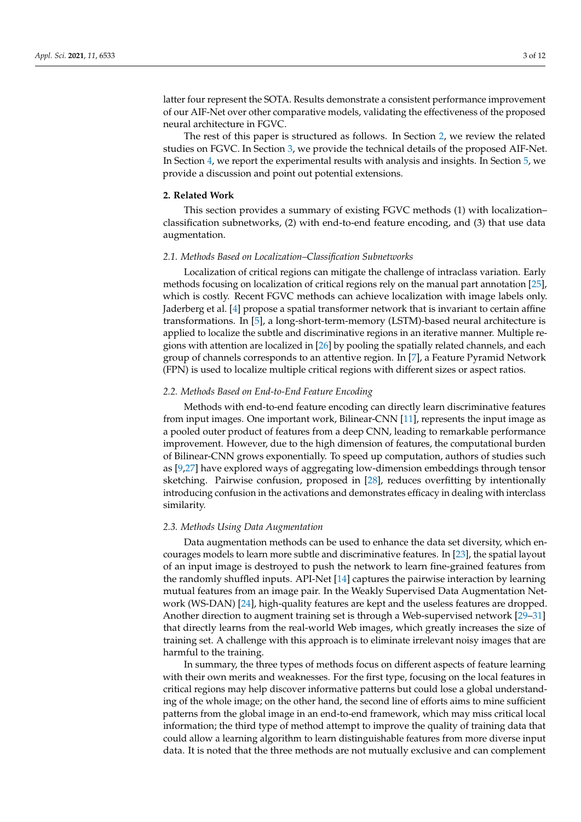latter four represent the SOTA. Results demonstrate a consistent performance improvement of our AIF-Net over other comparative models, validating the effectiveness of the proposed neural architecture in FGVC.

The rest of this paper is structured as follows. In Section [2,](#page-2-0) we review the related studies on FGVC. In Section [3,](#page-3-0) we provide the technical details of the proposed AIF-Net. In Section [4,](#page-6-0) we report the experimental results with analysis and insights. In Section [5,](#page-9-0) we provide a discussion and point out potential extensions.

#### <span id="page-2-0"></span>**2. Related Work**

This section provides a summary of existing FGVC methods (1) with localization– classification subnetworks, (2) with end-to-end feature encoding, and (3) that use data augmentation.

#### *2.1. Methods Based on Localization–Classification Subnetworks*

Localization of critical regions can mitigate the challenge of intraclass variation. Early methods focusing on localization of critical regions rely on the manual part annotation [\[25\]](#page-11-9), which is costly. Recent FGVC methods can achieve localization with image labels only. Jaderberg et al. [\[4\]](#page-10-3) propose a spatial transformer network that is invariant to certain affine transformations. In [\[5\]](#page-10-11), a long-short-term-memory (LSTM)-based neural architecture is applied to localize the subtle and discriminative regions in an iterative manner. Multiple regions with attention are localized in [\[26\]](#page-11-10) by pooling the spatially related channels, and each group of channels corresponds to an attentive region. In [\[7\]](#page-10-4), a Feature Pyramid Network (FPN) is used to localize multiple critical regions with different sizes or aspect ratios.

# *2.2. Methods Based on End-to-End Feature Encoding*

Methods with end-to-end feature encoding can directly learn discriminative features from input images. One important work, Bilinear-CNN [\[11\]](#page-10-12), represents the input image as a pooled outer product of features from a deep CNN, leading to remarkable performance improvement. However, due to the high dimension of features, the computational burden of Bilinear-CNN grows exponentially. To speed up computation, authors of studies such as [\[9](#page-10-10)[,27\]](#page-11-11) have explored ways of aggregating low-dimension embeddings through tensor sketching. Pairwise confusion, proposed in [\[28\]](#page-11-12), reduces overfitting by intentionally introducing confusion in the activations and demonstrates efficacy in dealing with interclass similarity.

#### *2.3. Methods Using Data Augmentation*

Data augmentation methods can be used to enhance the data set diversity, which encourages models to learn more subtle and discriminative features. In [\[23\]](#page-11-7), the spatial layout of an input image is destroyed to push the network to learn fine-grained features from the randomly shuffled inputs. API-Net [\[14\]](#page-10-8) captures the pairwise interaction by learning mutual features from an image pair. In the Weakly Supervised Data Augmentation Network (WS-DAN) [\[24\]](#page-11-8), high-quality features are kept and the useless features are dropped. Another direction to augment training set is through a Web-supervised network [\[29–](#page-11-13)[31\]](#page-11-14) that directly learns from the real-world Web images, which greatly increases the size of training set. A challenge with this approach is to eliminate irrelevant noisy images that are harmful to the training.

In summary, the three types of methods focus on different aspects of feature learning with their own merits and weaknesses. For the first type, focusing on the local features in critical regions may help discover informative patterns but could lose a global understanding of the whole image; on the other hand, the second line of efforts aims to mine sufficient patterns from the global image in an end-to-end framework, which may miss critical local information; the third type of method attempt to improve the quality of training data that could allow a learning algorithm to learn distinguishable features from more diverse input data. It is noted that the three methods are not mutually exclusive and can complement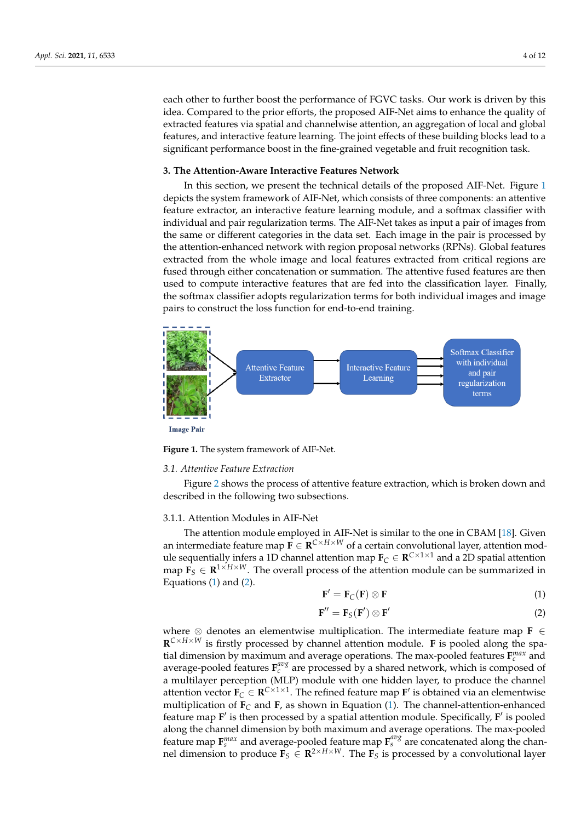each other to further boost the performance of FGVC tasks. Our work is driven by this idea. Compared to the prior efforts, the proposed AIF-Net aims to enhance the quality of extracted features via spatial and channelwise attention, an aggregation of local and global features, and interactive feature learning. The joint effects of these building blocks lead to a significant performance boost in the fine-grained vegetable and fruit recognition task.

#### <span id="page-3-0"></span>**3. The Attention-Aware Interactive Features Network**

In this section, we present the technical details of the proposed AIF-Net. Figure [1](#page-3-1) depicts the system framework of AIF-Net, which consists of three components: an attentive feature extractor, an interactive feature learning module, and a softmax classifier with individual and pair regularization terms. The AIF-Net takes as input a pair of images from the same or different categories in the data set. Each image in the pair is processed by the attention-enhanced network with region proposal networks (RPNs). Global features extracted from the whole image and local features extracted from critical regions are fused through either concatenation or summation. The attentive fused features are then used to compute interactive features that are fed into the classification layer. Finally, the softmax classifier adopts regularization terms for both individual images and image pairs to construct the loss function for end-to-end training.

<span id="page-3-1"></span>

**Figure 1.** The system framework of AIF-Net.

#### <span id="page-3-4"></span>*3.1. Attentive Feature Extraction*

Figure [2](#page-4-0) shows the process of attentive feature extraction, which is broken down and described in the following two subsections.

#### 3.1.1. Attention Modules in AIF-Net

The attention module employed in AIF-Net is similar to the one in CBAM [\[18\]](#page-11-2). Given an intermediate feature map  $\mathbf{F} \in \mathbf{R}^{C \times H \times W}$  of a certain convolutional layer, attention module sequentially infers a 1D channel attention map  $\mathbf{F}_C \in \mathbf{R}^{C \times 1 \times 1}$  and a 2D spatial attention map  $\mathbf{F}_S \in \mathbb{R}^{1 \times H \times W}$ . The overall process of the attention module can be summarized in Equations  $(1)$  and  $(2)$ .

<span id="page-3-2"></span>
$$
\mathbf{F}' = \mathbf{F}_C(\mathbf{F}) \otimes \mathbf{F} \tag{1}
$$

<span id="page-3-3"></span>
$$
\mathbf{F}'' = \mathbf{F}_S(\mathbf{F}') \otimes \mathbf{F}' \tag{2}
$$

where ⊗ denotes an elementwise multiplication. The intermediate feature map **F** ∈ **R** *<sup>C</sup>*×*H*×*<sup>W</sup>* is firstly processed by channel attention module. **F** is pooled along the spatial dimension by maximum and average operations. The max-pooled features  $\mathbf{F}_c^{max}$  and average-pooled features  $\mathbf{F}_c^{avg}$  are processed by a shared network, which is composed of a multilayer perception (MLP) module with one hidden layer, to produce the channel attention vector  $\mathbf{F}_C \in \mathbb{R}^{C \times 1 \times 1}$ . The refined feature map  $\mathbf{F}'$  is obtained via an elementwise multiplication of  $\mathbf{F}_C$  and  $\mathbf{F}_I$ , as shown in Equation [\(1\)](#page-3-2). The channel-attention-enhanced feature map F<sup>'</sup> is then processed by a spatial attention module. Specifically, F<sup>'</sup> is pooled along the channel dimension by both maximum and average operations. The max-pooled feature map  $\mathbf{F}_s^{max}$  and average-pooled feature map  $\mathbf{F}_s^{avg}$  are concatenated along the channel dimension to produce  $\mathbf{F}_S \in \mathbb{R}^{2 \times H \times W}$ . The  $\mathbf{F}_S$  is processed by a convolutional layer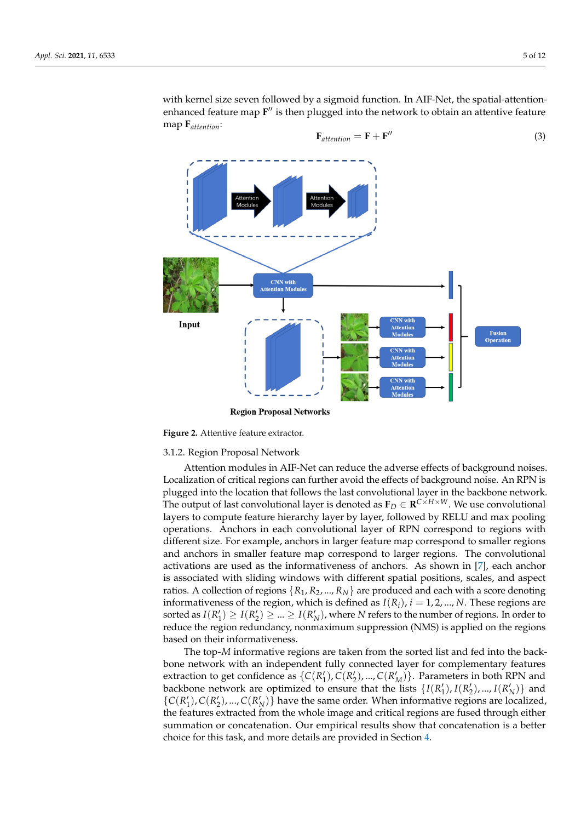with kernel size seven followed by a sigmoid function. In AIF-Net, the spatial-attentionenhanced feature map F<sup>"</sup> is then plugged into the network to obtain an attentive feature map **F***attention*:

<span id="page-4-0"></span>

**Figure 2.** Attentive feature extractor.

#### 3.1.2. Region Proposal Network

Attention modules in AIF-Net can reduce the adverse effects of background noises. Localization of critical regions can further avoid the effects of background noise. An RPN is plugged into the location that follows the last convolutional layer in the backbone network. The output of last convolutional layer is denoted as  $\mathbf{F}_D \in \mathbf{R}^{C \times H \times W}$ . We use convolutional layers to compute feature hierarchy layer by layer, followed by RELU and max pooling operations. Anchors in each convolutional layer of RPN correspond to regions with different size. For example, anchors in larger feature map correspond to smaller regions and anchors in smaller feature map correspond to larger regions. The convolutional activations are used as the informativeness of anchors. As shown in [\[7\]](#page-10-4), each anchor is associated with sliding windows with different spatial positions, scales, and aspect ratios. A collection of regions  $\{R_1, R_2, ..., R_N\}$  are produced and each with a score denoting informativeness of the region, which is defined as  $I(R_i)$ ,  $i = 1, 2, ..., N$ . These regions are sorted as  $I(R'_1) \geq I(R'_2) \geq ... \geq I(R'_N)$ , where *N* refers to the number of regions. In order to reduce the region redundancy, nonmaximum suppression (NMS) is applied on the regions based on their informativeness.

The top-*M* informative regions are taken from the sorted list and fed into the backbone network with an independent fully connected layer for complementary features extraction to get confidence as  $\{C(R_1'), C(R_2'), ..., C(R_M')\}$ . Parameters in both RPN and backbone network are optimized to ensure that the lists  $\{I(R'_1), I(R'_2), ..., I(R'_N)\}$  and  $\{C(R'_1), C(R'_2), ..., C(R'_N)\}$  have the same order. When informative regions are localized, the features extracted from the whole image and critical regions are fused through either summation or concatenation. Our empirical results show that concatenation is a better choice for this task, and more details are provided in Section [4.](#page-6-0)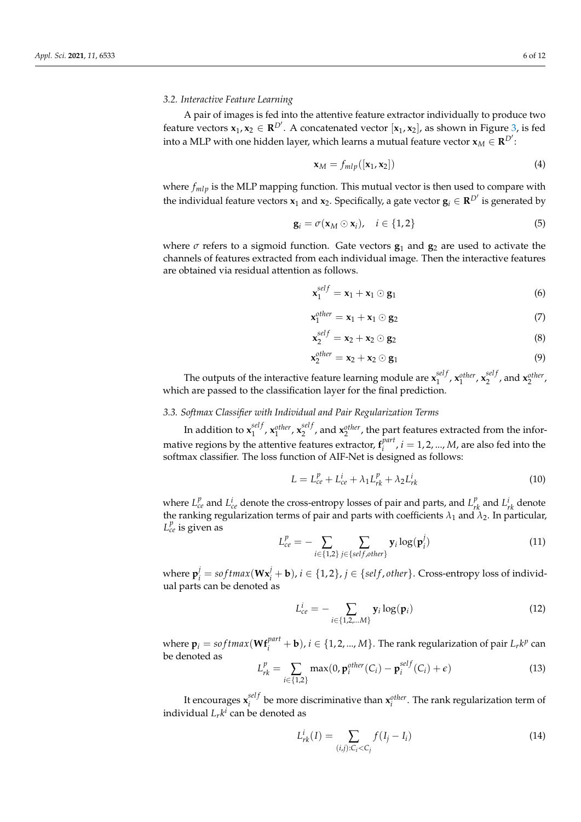#### *3.2. Interactive Feature Learning*

A pair of images is fed into the attentive feature extractor individually to produce two feature vectors  $\mathbf{x}_1, \mathbf{x}_2 \in \mathbb{R}^{D'}$ . A concatenated vector  $[\mathbf{x}_1, \mathbf{x}_2]$ , as shown in Figure [3,](#page-6-1) is fed into a MLP with one hidden layer, which learns a mutual feature vector  $\mathbf{x}_M \in \mathbf{R}^{D'}$ :

$$
\mathbf{x}_M = f_{mlp}([\mathbf{x}_1, \mathbf{x}_2]) \tag{4}
$$

where  $f_{mlp}$  is the MLP mapping function. This mutual vector is then used to compare with the individual feature vectors  $x_1$  and  $x_2$ . Specifically, a gate vector  $\mathbf{g}_i \in \mathbf{R}^{D'}$  is generated by

$$
\mathbf{g}_i = \sigma(\mathbf{x}_M \odot \mathbf{x}_i), \quad i \in \{1, 2\}
$$
 (5)

where  $\sigma$  refers to a sigmoid function. Gate vectors  $g_1$  and  $g_2$  are used to activate the channels of features extracted from each individual image. Then the interactive features are obtained via residual attention as follows.

$$
\mathbf{x}_1^{self} = \mathbf{x}_1 + \mathbf{x}_1 \odot \mathbf{g}_1 \tag{6}
$$

$$
\mathbf{x}_1^{\text{other}} = \mathbf{x}_1 + \mathbf{x}_1 \odot \mathbf{g}_2 \tag{7}
$$

$$
\mathbf{x}_2^{self} = \mathbf{x}_2 + \mathbf{x}_2 \odot \mathbf{g}_2 \tag{8}
$$

$$
\mathbf{x}_2^{\text{other}} = \mathbf{x}_2 + \mathbf{x}_2 \odot \mathbf{g}_1 \tag{9}
$$

The outputs of the interactive feature learning module are  $\mathbf{x}_1^{self}$ 1 , **x** *other* 1 , **x** *sel f*  $x_2^{set}$ , and  $x_2^{other}$ , which are passed to the classification layer for the final prediction.

# *3.3. Softmax Classifier with Individual and Pair Regularization Terms*

In addition to  $\mathbf{x}_1^{self}$ 1 , **x** *other* 1 , **x** *sel f*  $\chi_2^{self}$ , and  $\mathbf{x}_2^{other}$ , the part features extracted from the informative regions by the attentive features extractor,  $\mathbf{f}^{part}_i$  $i_i^{part}$ ,  $i = 1, 2, ..., M$ , are also fed into the softmax classifier. The loss function of AIF-Net is designed as follows:

$$
L = L_{ce}^{p} + L_{ce}^{i} + \lambda_{1} L_{rk}^{p} + \lambda_{2} L_{rk}^{i}
$$
\n(10)

where  $L_{ce}^p$  and  $L_{ce}^i$  denote the cross-entropy losses of pair and parts, and  $L_{rk}^p$  and  $L_{rk}^i$  denote the ranking regularization terms of pair and parts with coefficients  $\lambda_1$  and  $\lambda_2$ . In particular,  $L_{ce}^p$  is given as

$$
L_{ce}^{p} = -\sum_{i \in \{1,2\}} \sum_{j \in \{self, other\}} \mathbf{y}_{i} \log(\mathbf{p}_{i}^{j})
$$
(11)

where  $\mathbf{p}_i^j = softmax(\mathbf{W}\mathbf{x}_i^j + \mathbf{b}), i \in \{1, 2\}, j \in \{self, other\}.$  Cross-entropy loss of individual parts can be denoted as

$$
L_{ce}^{i} = -\sum_{i \in \{1, 2, \dots M\}} \mathbf{y}_{i} \log(\mathbf{p}_{i})
$$
\n(12)

where  $\mathbf{p}_i = softmax(\mathbf{W}\mathbf{f}_i^{part} + \mathbf{b})$ ,  $i \in \{1, 2, ..., M\}$ . The rank regularization of pair  $L_r k^p$  can be denoted as

$$
L_{rk}^p = \sum_{i \in \{1,2\}} \max(0, \mathbf{p}_i^{other}(C_i) - \mathbf{p}_i^{self}(C_i) + \epsilon)
$$
(13)

It encourages  $\mathbf{x}_i^{self}$  $\mathbf{z}_i^{set}$  be more discriminative than  $\mathbf{x}_i^{other}$ . The rank regularization term of individual  $L_r k^i$  can be denoted as

$$
L_{rk}^i(I) = \sum_{(i,j):C_i < C_j} f(I_j - I_i) \tag{14}
$$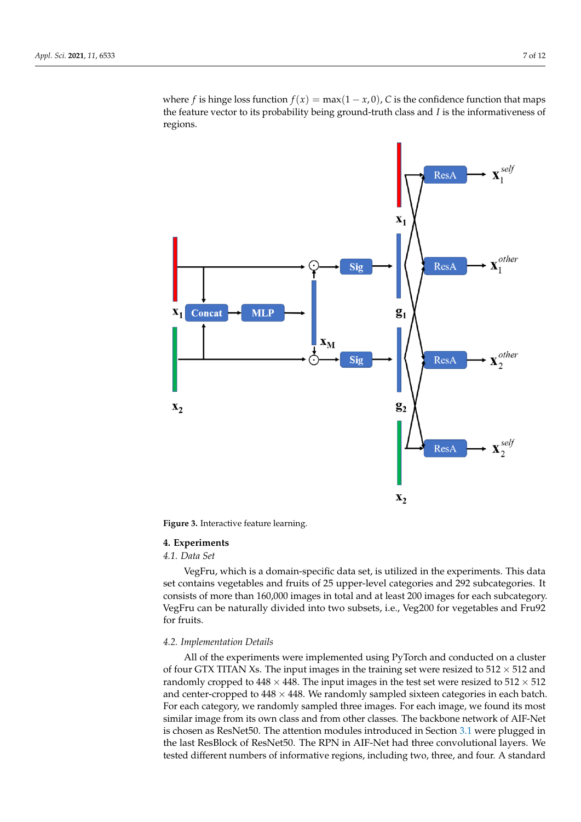where *f* is hinge loss function  $f(x) = \max(1 - x, 0)$ , *C* is the confidence function that maps the feature vector to its probability being ground-truth class and *I* is the informativeness of regions.

<span id="page-6-1"></span>

**Figure 3.** Interactive feature learning.

#### <span id="page-6-0"></span>**4. Experiments**

#### *4.1. Data Set*

VegFru, which is a domain-specific data set, is utilized in the experiments. This data set contains vegetables and fruits of 25 upper-level categories and 292 subcategories. It consists of more than 160,000 images in total and at least 200 images for each subcategory. VegFru can be naturally divided into two subsets, i.e., Veg200 for vegetables and Fru92 for fruits.

#### *4.2. Implementation Details*

All of the experiments were implemented using PyTorch and conducted on a cluster of four GTX TITAN Xs. The input images in the training set were resized to  $512 \times 512$  and randomly cropped to  $448 \times 448$ . The input images in the test set were resized to  $512 \times 512$ and center-cropped to  $448 \times 448$ . We randomly sampled sixteen categories in each batch. For each category, we randomly sampled three images. For each image, we found its most similar image from its own class and from other classes. The backbone network of AIF-Net is chosen as ResNet50. The attention modules introduced in Section [3.1](#page-3-4) were plugged in the last ResBlock of ResNet50. The RPN in AIF-Net had three convolutional layers. We tested different numbers of informative regions, including two, three, and four. A standard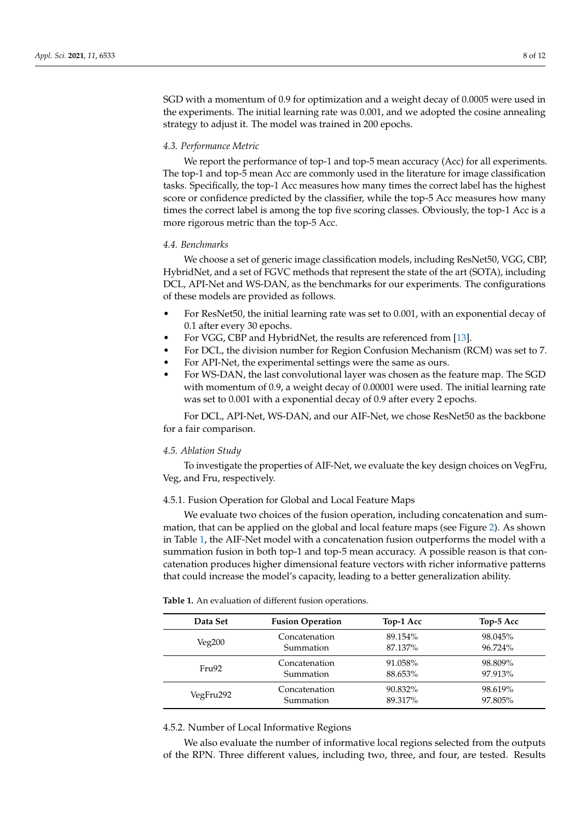SGD with a momentum of 0.9 for optimization and a weight decay of 0.0005 were used in the experiments. The initial learning rate was 0.001, and we adopted the cosine annealing strategy to adjust it. The model was trained in 200 epochs.

## *4.3. Performance Metric*

We report the performance of top-1 and top-5 mean accuracy (Acc) for all experiments. The top-1 and top-5 mean Acc are commonly used in the literature for image classification tasks. Specifically, the top-1 Acc measures how many times the correct label has the highest score or confidence predicted by the classifier, while the top-5 Acc measures how many times the correct label is among the top five scoring classes. Obviously, the top-1 Acc is a more rigorous metric than the top-5 Acc.

#### *4.4. Benchmarks*

We choose a set of generic image classification models, including ResNet50, VGG, CBP, HybridNet, and a set of FGVC methods that represent the state of the art (SOTA), including DCL, API-Net and WS-DAN, as the benchmarks for our experiments. The configurations of these models are provided as follows.

- For ResNet50, the initial learning rate was set to 0.001, with an exponential decay of 0.1 after every 30 epochs.
- For VGG, CBP and HybridNet, the results are referenced from [\[13\]](#page-10-7).
- For DCL, the division number for Region Confusion Mechanism (RCM) was set to 7.
- For API-Net, the experimental settings were the same as ours.
- For WS-DAN, the last convolutional layer was chosen as the feature map. The SGD with momentum of 0.9, a weight decay of 0.00001 were used. The initial learning rate was set to 0.001 with a exponential decay of 0.9 after every 2 epochs.

For DCL, API-Net, WS-DAN, and our AIF-Net, we chose ResNet50 as the backbone for a fair comparison.

#### *4.5. Ablation Study*

To investigate the properties of AIF-Net, we evaluate the key design choices on VegFru, Veg, and Fru, respectively.

### 4.5.1. Fusion Operation for Global and Local Feature Maps

We evaluate two choices of the fusion operation, including concatenation and summation, that can be applied on the global and local feature maps (see Figure [2\)](#page-4-0). As shown in Table [1,](#page-7-0) the AIF-Net model with a concatenation fusion outperforms the model with a summation fusion in both top-1 and top-5 mean accuracy. A possible reason is that concatenation produces higher dimensional feature vectors with richer informative patterns that could increase the model's capacity, leading to a better generalization ability.

| Data Set  | <b>Fusion Operation</b> | Top-1 Acc | Top-5 Acc |
|-----------|-------------------------|-----------|-----------|
| Veg200    | Concatenation           | 89.154%   | 98.045%   |
|           | Summation               | 87.137%   | 96.724%   |
| Fru92     | Concatenation           | 91.058%   | 98.809%   |
|           | Summation               | 88.653%   | 97.913%   |
| VegFru292 | Concatenation           | 90.832%   | 98.619%   |
|           | Summation               | 89.317%   | 97.805%   |

<span id="page-7-0"></span>**Table 1.** An evaluation of different fusion operations.

#### 4.5.2. Number of Local Informative Regions

We also evaluate the number of informative local regions selected from the outputs of the RPN. Three different values, including two, three, and four, are tested. Results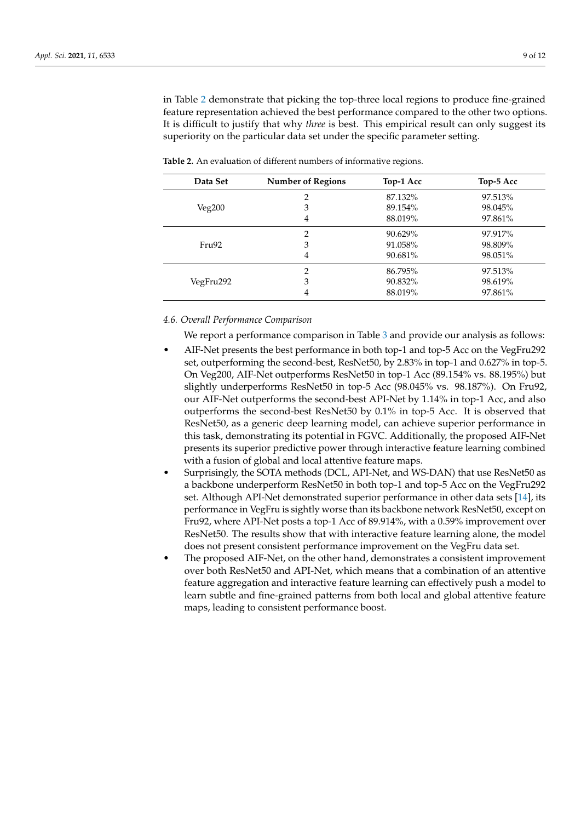in Table [2](#page-8-0) demonstrate that picking the top-three local regions to produce fine-grained feature representation achieved the best performance compared to the other two options. It is difficult to justify that why *three* is best. This empirical result can only suggest its superiority on the particular data set under the specific parameter setting.

| Data Set  | <b>Number of Regions</b> | Top-1 Acc | Top-5 Acc |
|-----------|--------------------------|-----------|-----------|
| Veg200    | 2                        | 87.132%   | 97.513%   |
|           | 3                        | 89.154%   | 98.045%   |
|           | 4                        | 88.019%   | 97.861%   |
| Fru92     | 2                        | 90.629%   | 97.917%   |
|           | 3                        | 91.058%   | 98.809%   |
|           | 4                        | 90.681%   | 98.051%   |
| VegFru292 | 2                        | 86.795%   | 97.513%   |
|           | 3                        | 90.832%   | 98.619%   |
|           | 4                        | 88.019%   | 97.861%   |

<span id="page-8-0"></span>**Table 2.** An evaluation of different numbers of informative regions.

# *4.6. Overall Performance Comparison*

We report a performance comparison in Table [3](#page-9-1) and provide our analysis as follows:

- AIF-Net presents the best performance in both top-1 and top-5 Acc on the VegFru292 set, outperforming the second-best, ResNet50, by 2.83% in top-1 and 0.627% in top-5. On Veg200, AIF-Net outperforms ResNet50 in top-1 Acc (89.154% vs. 88.195%) but slightly underperforms ResNet50 in top-5 Acc (98.045% vs. 98.187%). On Fru92, our AIF-Net outperforms the second-best API-Net by 1.14% in top-1 Acc, and also outperforms the second-best ResNet50 by 0.1% in top-5 Acc. It is observed that ResNet50, as a generic deep learning model, can achieve superior performance in this task, demonstrating its potential in FGVC. Additionally, the proposed AIF-Net presents its superior predictive power through interactive feature learning combined with a fusion of global and local attentive feature maps.
- Surprisingly, the SOTA methods (DCL, API-Net, and WS-DAN) that use ResNet50 as a backbone underperform ResNet50 in both top-1 and top-5 Acc on the VegFru292 set. Although API-Net demonstrated superior performance in other data sets [\[14\]](#page-10-8), its performance in VegFru is sightly worse than its backbone network ResNet50, except on Fru92, where API-Net posts a top-1 Acc of 89.914%, with a 0.59% improvement over ResNet50. The results show that with interactive feature learning alone, the model does not present consistent performance improvement on the VegFru data set.
- The proposed AIF-Net, on the other hand, demonstrates a consistent improvement over both ResNet50 and API-Net, which means that a combination of an attentive feature aggregation and interactive feature learning can effectively push a model to learn subtle and fine-grained patterns from both local and global attentive feature maps, leading to consistent performance boost.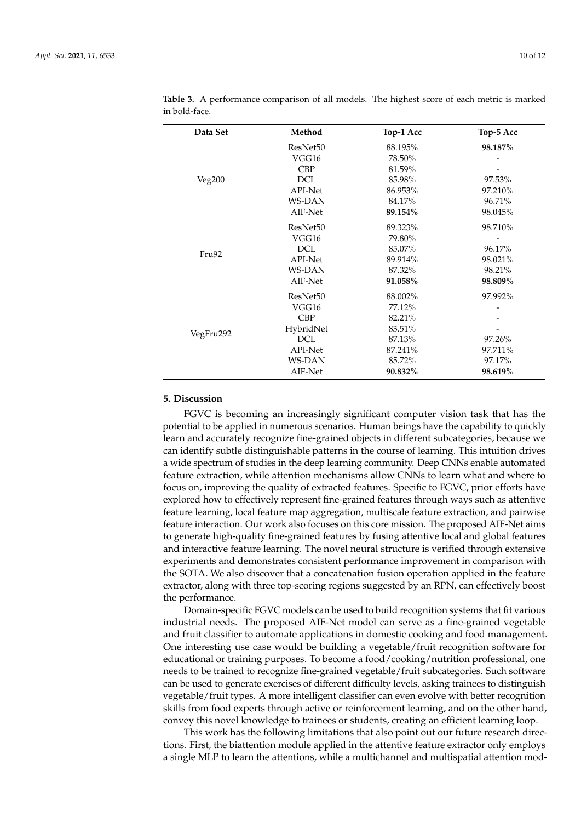| Data Set  | Method               | Top-1 Acc | Top-5 Acc |
|-----------|----------------------|-----------|-----------|
| Veg200    | ResNet <sub>50</sub> | 88.195%   | 98.187%   |
|           | VGG16                | 78.50%    |           |
|           | <b>CBP</b>           | 81.59%    |           |
|           | DCL                  | 85.98%    | 97.53%    |
|           | API-Net              | 86.953%   | 97.210%   |
|           | <b>WS-DAN</b>        | 84.17%    | 96.71%    |
|           | AIF-Net              | 89.154%   | 98.045%   |
|           | ResNet50             | 89.323%   | 98.710%   |
|           | VGG16                | 79.80%    |           |
|           | <b>DCL</b>           | 85.07%    | 96.17%    |
| Fru92     | API-Net              | 89.914%   | 98.021%   |
|           | <b>WS-DAN</b>        | 87.32%    | 98.21%    |
|           | AIF-Net              | 91.058%   | 98.809%   |
| VegFru292 | ResNet50             | 88.002%   | 97.992%   |
|           | VGG16                | 77.12%    |           |
|           | <b>CBP</b>           | 82.21%    |           |
|           | HybridNet            | 83.51%    |           |
|           | <b>DCL</b>           | 87.13%    | 97.26%    |
|           | API-Net              | 87.241%   | 97.711%   |
|           | <b>WS-DAN</b>        | 85.72%    | 97.17%    |
|           | AIF-Net              | 90.832%   | 98.619%   |

<span id="page-9-1"></span>**Table 3.** A performance comparison of all models. The highest score of each metric is marked in bold-face.

# <span id="page-9-0"></span>**5. Discussion**

FGVC is becoming an increasingly significant computer vision task that has the potential to be applied in numerous scenarios. Human beings have the capability to quickly learn and accurately recognize fine-grained objects in different subcategories, because we can identify subtle distinguishable patterns in the course of learning. This intuition drives a wide spectrum of studies in the deep learning community. Deep CNNs enable automated feature extraction, while attention mechanisms allow CNNs to learn what and where to focus on, improving the quality of extracted features. Specific to FGVC, prior efforts have explored how to effectively represent fine-grained features through ways such as attentive feature learning, local feature map aggregation, multiscale feature extraction, and pairwise feature interaction. Our work also focuses on this core mission. The proposed AIF-Net aims to generate high-quality fine-grained features by fusing attentive local and global features and interactive feature learning. The novel neural structure is verified through extensive experiments and demonstrates consistent performance improvement in comparison with the SOTA. We also discover that a concatenation fusion operation applied in the feature extractor, along with three top-scoring regions suggested by an RPN, can effectively boost the performance.

Domain-specific FGVC models can be used to build recognition systems that fit various industrial needs. The proposed AIF-Net model can serve as a fine-grained vegetable and fruit classifier to automate applications in domestic cooking and food management. One interesting use case would be building a vegetable/fruit recognition software for educational or training purposes. To become a food/cooking/nutrition professional, one needs to be trained to recognize fine-grained vegetable/fruit subcategories. Such software can be used to generate exercises of different difficulty levels, asking trainees to distinguish vegetable/fruit types. A more intelligent classifier can even evolve with better recognition skills from food experts through active or reinforcement learning, and on the other hand, convey this novel knowledge to trainees or students, creating an efficient learning loop.

This work has the following limitations that also point out our future research directions. First, the biattention module applied in the attentive feature extractor only employs a single MLP to learn the attentions, while a multichannel and multispatial attention mod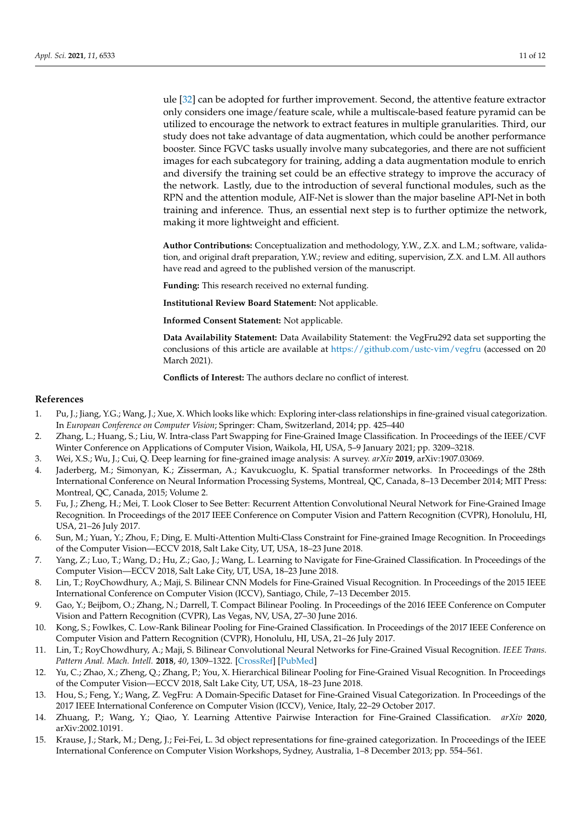ule [\[32\]](#page-11-15) can be adopted for further improvement. Second, the attentive feature extractor

only considers one image/feature scale, while a multiscale-based feature pyramid can be utilized to encourage the network to extract features in multiple granularities. Third, our study does not take advantage of data augmentation, which could be another performance booster. Since FGVC tasks usually involve many subcategories, and there are not sufficient images for each subcategory for training, adding a data augmentation module to enrich and diversify the training set could be an effective strategy to improve the accuracy of the network. Lastly, due to the introduction of several functional modules, such as the RPN and the attention module, AIF-Net is slower than the major baseline API-Net in both training and inference. Thus, an essential next step is to further optimize the network, making it more lightweight and efficient.

**Author Contributions:** Conceptualization and methodology, Y.W., Z.X. and L.M.; software, validation, and original draft preparation, Y.W.; review and editing, supervision, Z.X. and L.M. All authors have read and agreed to the published version of the manuscript.

**Funding:** This research received no external funding.

**Institutional Review Board Statement:** Not applicable.

**Informed Consent Statement:** Not applicable.

**Data Availability Statement:** Data Availability Statement: the VegFru292 data set supporting the conclusions of this article are available at <https://github.com/ustc-vim/vegfru> (accessed on 20 March 2021).

**Conflicts of Interest:** The authors declare no conflict of interest.

# **References**

- <span id="page-10-0"></span>1. Pu, J.; Jiang, Y.G.; Wang, J.; Xue, X. Which looks like which: Exploring inter-class relationships in fine-grained visual categorization. In *European Conference on Computer Vision*; Springer: Cham, Switzerland, 2014; pp. 425–440
- <span id="page-10-1"></span>2. Zhang, L.; Huang, S.; Liu, W. Intra-class Part Swapping for Fine-Grained Image Classification. In Proceedings of the IEEE/CVF Winter Conference on Applications of Computer Vision, Waikola, HI, USA, 5–9 January 2021; pp. 3209–3218.
- <span id="page-10-2"></span>3. Wei, X.S.; Wu, J.; Cui, Q. Deep learning for fine-grained image analysis: A survey. *arXiv* **2019**, arXiv:1907.03069.
- <span id="page-10-3"></span>4. Jaderberg, M.; Simonyan, K.; Zisserman, A.; Kavukcuoglu, K. Spatial transformer networks. In Proceedings of the 28th International Conference on Neural Information Processing Systems, Montreal, QC, Canada, 8–13 December 2014; MIT Press: Montreal, QC, Canada, 2015; Volume 2.
- <span id="page-10-11"></span>5. Fu, J.; Zheng, H.; Mei, T. Look Closer to See Better: Recurrent Attention Convolutional Neural Network for Fine-Grained Image Recognition. In Proceedings of the 2017 IEEE Conference on Computer Vision and Pattern Recognition (CVPR), Honolulu, HI, USA, 21–26 July 2017.
- 6. Sun, M.; Yuan, Y.; Zhou, F.; Ding, E. Multi-Attention Multi-Class Constraint for Fine-grained Image Recognition. In Proceedings of the Computer Vision—ECCV 2018, Salt Lake City, UT, USA, 18–23 June 2018.
- <span id="page-10-4"></span>7. Yang, Z.; Luo, T.; Wang, D.; Hu, Z.; Gao, J.; Wang, L. Learning to Navigate for Fine-Grained Classification. In Proceedings of the Computer Vision—ECCV 2018, Salt Lake City, UT, USA, 18–23 June 2018.
- <span id="page-10-5"></span>8. Lin, T.; RoyChowdhury, A.; Maji, S. Bilinear CNN Models for Fine-Grained Visual Recognition. In Proceedings of the 2015 IEEE International Conference on Computer Vision (ICCV), Santiago, Chile, 7–13 December 2015.
- <span id="page-10-10"></span>9. Gao, Y.; Beijbom, O.; Zhang, N.; Darrell, T. Compact Bilinear Pooling. In Proceedings of the 2016 IEEE Conference on Computer Vision and Pattern Recognition (CVPR), Las Vegas, NV, USA, 27–30 June 2016.
- 10. Kong, S.; Fowlkes, C. Low-Rank Bilinear Pooling for Fine-Grained Classification. In Proceedings of the 2017 IEEE Conference on Computer Vision and Pattern Recognition (CVPR), Honolulu, HI, USA, 21–26 July 2017.
- <span id="page-10-12"></span>11. Lin, T.; RoyChowdhury, A.; Maji, S. Bilinear Convolutional Neural Networks for Fine-Grained Visual Recognition. *IEEE Trans. Pattern Anal. Mach. Intell.* **2018**, *40*, 1309–1322. [\[CrossRef\]](http://doi.org/10.1109/TPAMI.2017.2723400) [\[PubMed\]](http://www.ncbi.nlm.nih.gov/pubmed/28692962)
- <span id="page-10-6"></span>12. Yu, C.; Zhao, X.; Zheng, Q.; Zhang, P.; You, X. Hierarchical Bilinear Pooling for Fine-Grained Visual Recognition. In Proceedings of the Computer Vision—ECCV 2018, Salt Lake City, UT, USA, 18–23 June 2018.
- <span id="page-10-7"></span>13. Hou, S.; Feng, Y.; Wang, Z. VegFru: A Domain-Specific Dataset for Fine-Grained Visual Categorization. In Proceedings of the 2017 IEEE International Conference on Computer Vision (ICCV), Venice, Italy, 22–29 October 2017.
- <span id="page-10-8"></span>14. Zhuang, P.; Wang, Y.; Qiao, Y. Learning Attentive Pairwise Interaction for Fine-Grained Classification. *arXiv* **2020**, arXiv:2002.10191.
- <span id="page-10-9"></span>15. Krause, J.; Stark, M.; Deng, J.; Fei-Fei, L. 3d object representations for fine-grained categorization. In Proceedings of the IEEE International Conference on Computer Vision Workshops, Sydney, Australia, 1–8 December 2013; pp. 554–561.